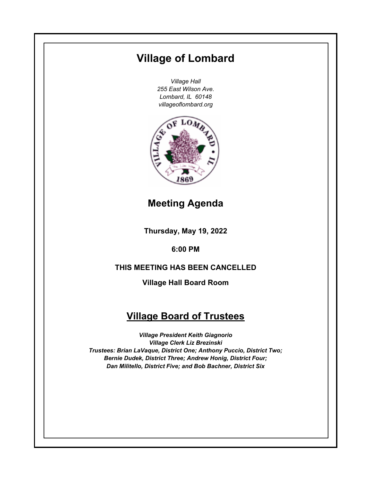# **Village of Lombard**

*Village Hall 255 East Wilson Ave. Lombard, IL 60148 villageoflombard.org*



### **Meeting Agenda**

**Thursday, May 19, 2022**

**6:00 PM**

### **THIS MEETING HAS BEEN CANCELLED**

**Village Hall Board Room**

## **Village Board of Trustees**

*Village President Keith Giagnorio Village Clerk Liz Brezinski Trustees: Brian LaVaque, District One; Anthony Puccio, District Two; Bernie Dudek, District Three; Andrew Honig, District Four; Dan Militello, District Five; and Bob Bachner, District Six*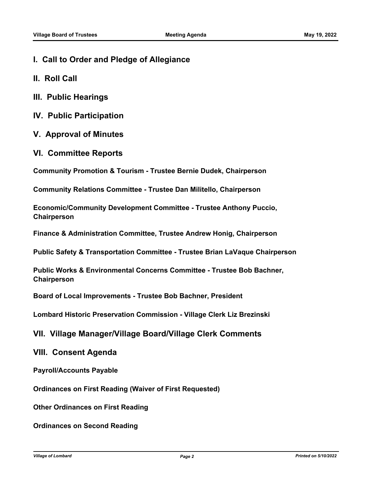- **I. Call to Order and Pledge of Allegiance**
- **II. Roll Call**
- **III. Public Hearings**
- **IV. Public Participation**
- **V. Approval of Minutes**
- **VI. Committee Reports**

**Community Promotion & Tourism - Trustee Bernie Dudek, Chairperson**

**Community Relations Committee - Trustee Dan Militello, Chairperson**

**Economic/Community Development Committee - Trustee Anthony Puccio, Chairperson**

**Finance & Administration Committee, Trustee Andrew Honig, Chairperson**

**Public Safety & Transportation Committee - Trustee Brian LaVaque Chairperson**

**Public Works & Environmental Concerns Committee - Trustee Bob Bachner, Chairperson**

**Board of Local Improvements - Trustee Bob Bachner, President**

**Lombard Historic Preservation Commission - Village Clerk Liz Brezinski**

**VII. Village Manager/Village Board/Village Clerk Comments**

#### **VIII. Consent Agenda**

**Payroll/Accounts Payable**

**Ordinances on First Reading (Waiver of First Requested)**

**Other Ordinances on First Reading**

**Ordinances on Second Reading**